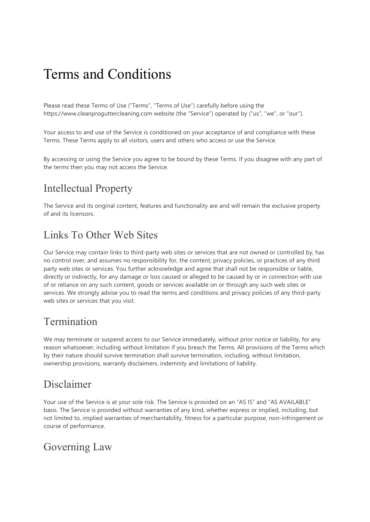# Terms and Conditions

Please read these Terms of Use ("Terms", "Terms of Use") carefully before using the https://www.cleanproguttercleaning.com website (the "Service") operated by ("us", "we", or "our").

Your access to and use of the Service is conditioned on your acceptance of and compliance with these Terms. These Terms apply to all visitors, users and others who access or use the Service.

By accessing or using the Service you agree to be bound by these Terms. If you disagree with any part of the terms then you may not access the Service.

### Intellectual Property

The Service and its original content, features and functionality are and will remain the exclusive property of and its licensors.

#### Links To Other Web Sites

Our Service may contain links to third-party web sites or services that are not owned or controlled by, has no control over, and assumes no responsibility for, the content, privacy policies, or practices of any third party web sites or services. You further acknowledge and agree that shall not be responsible or liable, directly or indirectly, for any damage or loss caused or alleged to be caused by or in connection with use of or reliance on any such content, goods or services available on or through any such web sites or services. We strongly advise you to read the terms and conditions and privacy policies of any third-party web sites or services that you visit.

#### **Termination**

We may terminate or suspend access to our Service immediately, without prior notice or liability, for any reason whatsoever, including without limitation if you breach the Terms. All provisions of the Terms which by their nature should survive termination shall survive termination, including, without limitation, ownership provisions, warranty disclaimers, indemnity and limitations of liability.

### Disclaimer

Your use of the Service is at your sole risk. The Service is provided on an "AS IS" and "AS AVAILABLE" basis. The Service is provided without warranties of any kind, whether express or implied, including, but not limited to, implied warranties of merchantability, fitness for a particular purpose, non-infringement or course of performance.

#### Governing Law